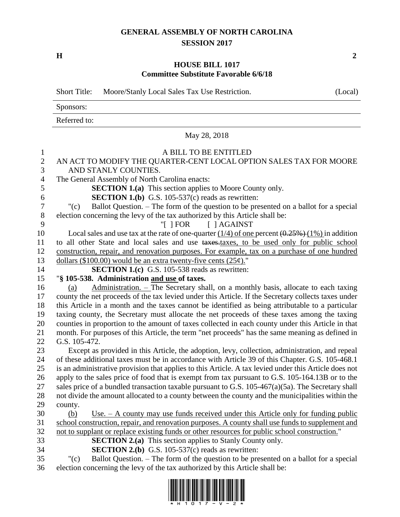## **GENERAL ASSEMBLY OF NORTH CAROLINA SESSION 2017**

**H 2**

## **HOUSE BILL 1017 Committee Substitute Favorable 6/6/18**

|                  | <b>Short Title:</b><br>Moore/Stanly Local Sales Tax Use Restriction.                                  | (Local) |
|------------------|-------------------------------------------------------------------------------------------------------|---------|
|                  | Sponsors:                                                                                             |         |
|                  | Referred to:                                                                                          |         |
|                  | May 28, 2018                                                                                          |         |
| $\mathbf{1}$     | A BILL TO BE ENTITLED                                                                                 |         |
| $\mathbf{2}$     | AN ACT TO MODIFY THE QUARTER-CENT LOCAL OPTION SALES TAX FOR MOORE                                    |         |
| 3                | AND STANLY COUNTIES.                                                                                  |         |
| $\overline{4}$   | The General Assembly of North Carolina enacts:                                                        |         |
| 5                | <b>SECTION 1.(a)</b> This section applies to Moore County only.                                       |         |
| 6                | <b>SECTION 1.(b)</b> G.S. 105-537(c) reads as rewritten:                                              |         |
| $\boldsymbol{7}$ | Ballot Question. – The form of the question to be presented on a ballot for a special<br>" $(c)$      |         |
| $8\,$            | election concerning the levy of the tax authorized by this Article shall be:                          |         |
| 9                | " $\lceil$   FOR<br>$\lceil$   AGAINST                                                                |         |
| 10               | Local sales and use tax at the rate of one-quarter $(1/4)$ of one percent $(0.25%) (1\%)$ in addition |         |
| 11               | to all other State and local sales and use taxes.taxes, to be used only for public school             |         |
| 12               | construction, repair, and renovation purposes. For example, tax on a purchase of one hundred          |         |
| 13               | dollars (\$100.00) would be an extra twenty-five cents (25 $\varphi$ )."                              |         |
| 14               | <b>SECTION 1.(c)</b> G.S. 105-538 reads as rewritten:                                                 |         |
| 15               | "§ 105-538. Administration and use of taxes.                                                          |         |
| 16               | Administration. - The Secretary shall, on a monthly basis, allocate to each taxing<br>(a)             |         |
| 17               | county the net proceeds of the tax levied under this Article. If the Secretary collects taxes under   |         |
| 18               | this Article in a month and the taxes cannot be identified as being attributable to a particular      |         |
| 19               | taxing county, the Secretary must allocate the net proceeds of these taxes among the taxing           |         |
| 20               | counties in proportion to the amount of taxes collected in each county under this Article in that     |         |
| 21               | month. For purposes of this Article, the term "net proceeds" has the same meaning as defined in       |         |
| 22               | G.S. 105-472.                                                                                         |         |
| 23               | Except as provided in this Article, the adoption, levy, collection, administration, and repeal        |         |
| 24               | of these additional taxes must be in accordance with Article 39 of this Chapter. G.S. 105-468.1       |         |
| 25               | is an administrative provision that applies to this Article. A tax levied under this Article does not |         |
| 26               | apply to the sales price of food that is exempt from tax pursuant to G.S. 105-164.13B or to the       |         |
| 27               | sales price of a bundled transaction taxable pursuant to G.S. $105-467(a)(5a)$ . The Secretary shall  |         |
| 28               | not divide the amount allocated to a county between the county and the municipalities within the      |         |
| 29               | county.                                                                                               |         |
| 30               | Use. $-$ A county may use funds received under this Article only for funding public<br>(b)            |         |
| 31               | school construction, repair, and renovation purposes. A county shall use funds to supplement and      |         |
| 32               | not to supplant or replace existing funds or other resources for public school construction."         |         |
| 33               | <b>SECTION 2.(a)</b> This section applies to Stanly County only.                                      |         |
| 34               | <b>SECTION 2.(b)</b> G.S. 105-537(c) reads as rewritten:                                              |         |
| 35               | Ballot Question. – The form of the question to be presented on a ballot for a special<br>" $(c)$      |         |
| 36               | election concerning the levy of the tax authorized by this Article shall be:                          |         |